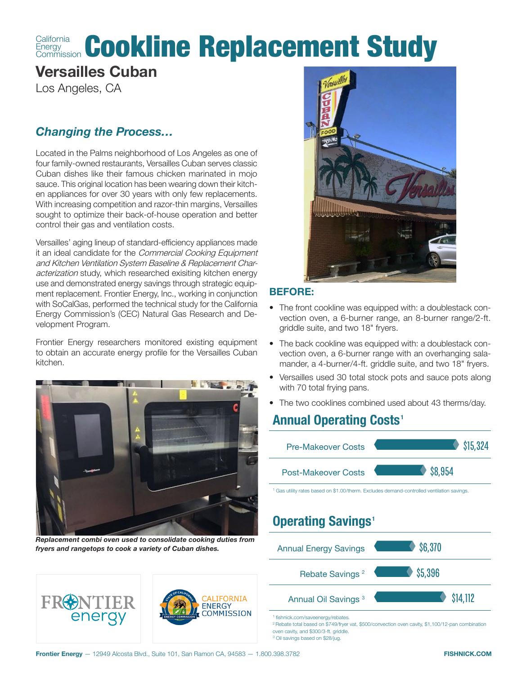#### **California Energy** California Cookline Replacement Study

# **Versailles Cuban**

Los Angeles, CA

## *Changing the Process…*

Located in the Palms neighborhood of Los Angeles as one of four family-owned restaurants, Versailles Cuban serves classic Cuban dishes like their famous chicken marinated in mojo sauce. This original location has been wearing down their kitchen appliances for over 30 years with only few replacements. With increasing competition and razor-thin margins, Versailles sought to optimize their back-of-house operation and better control their gas and ventilation costs.

Versailles' aging lineup of standard-efficiency appliances made it an ideal candidate for the Commercial Cooking Equipment and Kitchen Ventilation System Baseline & Replacement Characterization study, which researched exisiting kitchen energy use and demonstrated energy savings through strategic equipment replacement. Frontier Energy, Inc., working in conjunction with SoCalGas, performed the technical study for the California Energy Commission's (CEC) Natural Gas Research and Development Program.

Frontier Energy researchers monitored existing equipment to obtain an accurate energy profile for the Versailles Cuban kitchen.



*Replacement combi oven used to consolidate cooking duties from fryers and rangetops to cook a variety of Cuban dishes.*

FR<sup>2</sup>NTIER



### **BEFORE:**

- The front cookline was equipped with: a doublestack convection oven, a 6-burner range, an 8-burner range/2-ft. griddle suite, and two 18" fryers.
- The back cookline was equipped with: a doublestack convection oven, a 6-burner range with an overhanging salamander, a 4-burner/4-ft. griddle suite, and two 18" fryers.
- Versailles used 30 total stock pots and sauce pots along with 70 total frying pans.
- The two cooklines combined used about 43 therms/day.

# **Annual Operating Costs <sup>1</sup>**



2 Rebate total based on \$749/fryer vat, \$500/convection oven cavity, \$1,100/12-pan combination oven cavity, and \$300/3-ft. griddle. 3 Oil savings based on \$28/jug.



**ALTEORNIA ENERGY**